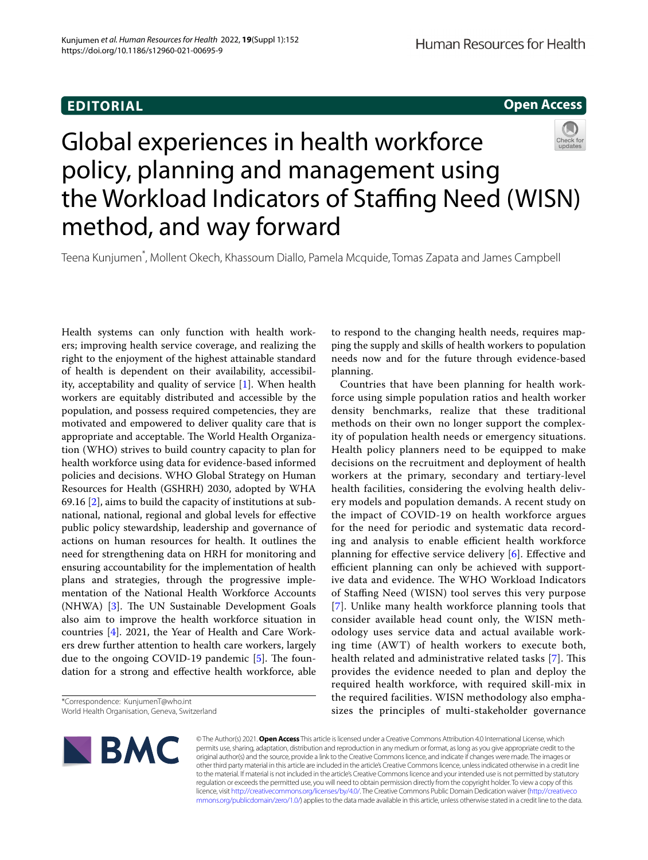# **EDITORIAL**

**Open Access**



Teena Kunjumen\* , Mollent Okech, Khassoum Diallo, Pamela Mcquide, Tomas Zapata and James Campbell

Health systems can only function with health workers; improving health service coverage, and realizing the right to the enjoyment of the highest attainable standard of health is dependent on their availability, accessibility, acceptability and quality of service [[1\]](#page-2-0). When health workers are equitably distributed and accessible by the population, and possess required competencies, they are motivated and empowered to deliver quality care that is appropriate and acceptable. The World Health Organization (WHO) strives to build country capacity to plan for health workforce using data for evidence-based informed policies and decisions. WHO Global Strategy on Human Resources for Health (GSHRH) 2030, adopted by WHA 69.16 [\[2\]](#page-2-1), aims to build the capacity of institutions at subnational, national, regional and global levels for efective public policy stewardship, leadership and governance of actions on human resources for health. It outlines the need for strengthening data on HRH for monitoring and ensuring accountability for the implementation of health plans and strategies, through the progressive implementation of the National Health Workforce Accounts  $(NHWA)$  [\[3](#page-2-2)]. The UN Sustainable Development Goals also aim to improve the health workforce situation in countries [[4\]](#page-2-3). 2021, the Year of Health and Care Workers drew further attention to health care workers, largely due to the ongoing COVID-19 pandemic  $[5]$  $[5]$ . The foundation for a strong and efective health workforce, able

<sup>\*</sup>Correspondence: KunjumenT@who.int World Health Organisation, Geneva, Switzerland



to respond to the changing health needs, requires mapping the supply and skills of health workers to population needs now and for the future through evidence-based planning.

Countries that have been planning for health workforce using simple population ratios and health worker density benchmarks, realize that these traditional methods on their own no longer support the complexity of population health needs or emergency situations. Health policy planners need to be equipped to make decisions on the recruitment and deployment of health workers at the primary, secondary and tertiary-level health facilities, considering the evolving health delivery models and population demands. A recent study on the impact of COVID-19 on health workforce argues for the need for periodic and systematic data recording and analysis to enable efficient health workforce planning for efective service delivery [\[6](#page-2-5)]. Efective and efficient planning can only be achieved with supportive data and evidence. The WHO Workload Indicators of Stafng Need (WISN) tool serves this very purpose [[7](#page-2-6)]. Unlike many health workforce planning tools that consider available head count only, the WISN methodology uses service data and actual available working time (AWT) of health workers to execute both, health related and administrative related tasks [\[7](#page-2-6)]. This provides the evidence needed to plan and deploy the required health workforce, with required skill-mix in the required facilities. WISN methodology also emphasizes the principles of multi-stakeholder governance

© The Author(s) 2021. **Open Access** This article is licensed under a Creative Commons Attribution 4.0 International License, which permits use, sharing, adaptation, distribution and reproduction in any medium or format, as long as you give appropriate credit to the original author(s) and the source, provide a link to the Creative Commons licence, and indicate if changes were made. The images or other third party material in this article are included in the article's Creative Commons licence, unless indicated otherwise in a credit line to the material. If material is not included in the article's Creative Commons licence and your intended use is not permitted by statutory regulation or exceeds the permitted use, you will need to obtain permission directly from the copyright holder. To view a copy of this licence, visit [http://creativecommons.org/licenses/by/4.0/.](http://creativecommons.org/licenses/by/4.0/) The Creative Commons Public Domain Dedication waiver ([http://creativeco](http://creativecommons.org/publicdomain/zero/1.0/) [mmons.org/publicdomain/zero/1.0/](http://creativecommons.org/publicdomain/zero/1.0/)) applies to the data made available in this article, unless otherwise stated in a credit line to the data.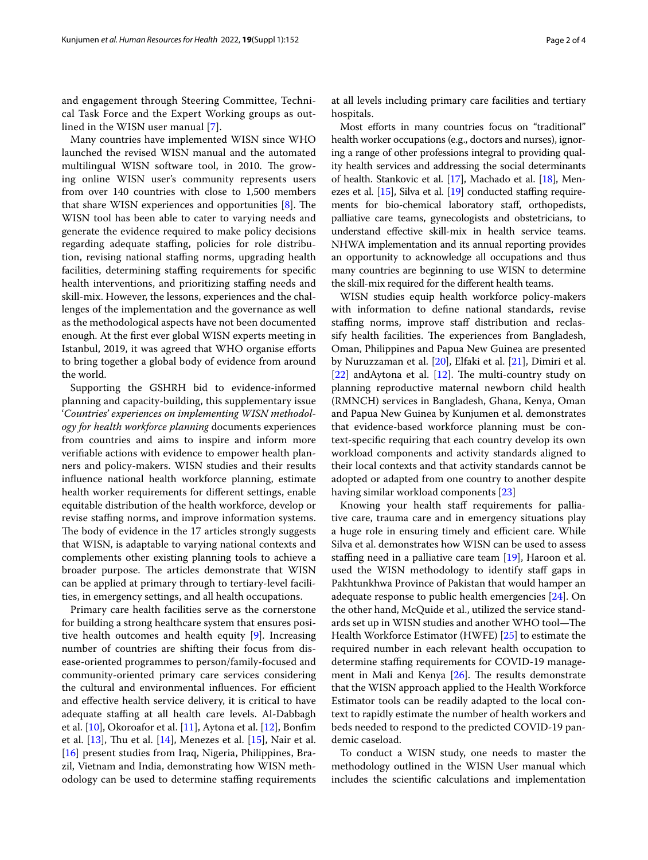and engagement through Steering Committee, Technical Task Force and the Expert Working groups as outlined in the WISN user manual [\[7](#page-2-6)].

Many countries have implemented WISN since WHO launched the revised WISN manual and the automated multilingual WISN software tool, in 2010. The growing online WISN user's community represents users from over 140 countries with close to 1,500 members that share WISN experiences and opportunities  $[8]$  $[8]$ . The WISN tool has been able to cater to varying needs and generate the evidence required to make policy decisions regarding adequate staffing, policies for role distribution, revising national staffing norms, upgrading health facilities, determining staffing requirements for specific health interventions, and prioritizing staffing needs and skill-mix. However, the lessons, experiences and the challenges of the implementation and the governance as well as the methodological aspects have not been documented enough. At the frst ever global WISN experts meeting in Istanbul, 2019, it was agreed that WHO organise eforts to bring together a global body of evidence from around the world.

Supporting the GSHRH bid to evidence-informed planning and capacity-building, this supplementary issue '*Countries' experiences on implementing WISN methodology for health workforce planning* documents experiences from countries and aims to inspire and inform more verifable actions with evidence to empower health planners and policy-makers. WISN studies and their results infuence national health workforce planning, estimate health worker requirements for diferent settings, enable equitable distribution of the health workforce, develop or revise staffing norms, and improve information systems. The body of evidence in the 17 articles strongly suggests that WISN, is adaptable to varying national contexts and complements other existing planning tools to achieve a broader purpose. The articles demonstrate that WISN can be applied at primary through to tertiary-level facilities, in emergency settings, and all health occupations.

Primary care health facilities serve as the cornerstone for building a strong healthcare system that ensures positive health outcomes and health equity [\[9](#page-2-8)]. Increasing number of countries are shifting their focus from disease-oriented programmes to person/family-focused and community-oriented primary care services considering the cultural and environmental influences. For efficient and efective health service delivery, it is critical to have adequate staffing at all health care levels. Al-Dabbagh et al. [\[10](#page-3-0)], Okoroafor et al. [[11\]](#page-3-1), Aytona et al. [[12\]](#page-3-2), Bonfm et al.  $[13]$ , Thu et al.  $[14]$  $[14]$ , Menezes et al.  $[15]$  $[15]$ , Nair et al. [[16\]](#page-3-6) present studies from Iraq, Nigeria, Philippines, Brazil, Vietnam and India, demonstrating how WISN methodology can be used to determine stafng requirements at all levels including primary care facilities and tertiary hospitals.

Most efforts in many countries focus on "traditional" health worker occupations (e.g., doctors and nurses), ignoring a range of other professions integral to providing quality health services and addressing the social determinants of health. Stankovic et al. [[17](#page-3-7)], Machado et al. [\[18\]](#page-3-8), Menezes et al.  $[15]$  $[15]$  $[15]$ , Silva et al.  $[19]$  conducted staffing requirements for bio-chemical laboratory staf, orthopedists, palliative care teams, gynecologists and obstetricians, to understand efective skill-mix in health service teams. NHWA implementation and its annual reporting provides an opportunity to acknowledge all occupations and thus many countries are beginning to use WISN to determine the skill-mix required for the diferent health teams.

WISN studies equip health workforce policy-makers with information to defne national standards, revise staffing norms, improve staff distribution and reclassify health facilities. The experiences from Bangladesh, Oman, Philippines and Papua New Guinea are presented by Nuruzzaman et al. [\[20\]](#page-3-10), Elfaki et al. [\[21](#page-3-11)], Dimiri et al. [[22\]](#page-3-12) and Aytona et al. [[12\]](#page-3-2). The multi-country study on planning reproductive maternal newborn child health (RMNCH) services in Bangladesh, Ghana, Kenya, Oman and Papua New Guinea by Kunjumen et al. demonstrates that evidence-based workforce planning must be context-specifc requiring that each country develop its own workload components and activity standards aligned to their local contexts and that activity standards cannot be adopted or adapted from one country to another despite having similar workload components [\[23](#page-3-13)]

Knowing your health staff requirements for palliative care, trauma care and in emergency situations play a huge role in ensuring timely and efficient care. While Silva et al. demonstrates how WISN can be used to assess staffing need in a palliative care team  $[19]$  $[19]$ , Haroon et al. used the WISN methodology to identify staff gaps in Pakhtunkhwa Province of Pakistan that would hamper an adequate response to public health emergencies [\[24](#page-3-14)]. On the other hand, McQuide et al., utilized the service standards set up in WISN studies and another WHO tool-The Health Workforce Estimator (HWFE) [\[25\]](#page-3-15) to estimate the required number in each relevant health occupation to determine staffing requirements for COVID-19 management in Mali and Kenya  $[26]$ . The results demonstrate that the WISN approach applied to the Health Workforce Estimator tools can be readily adapted to the local context to rapidly estimate the number of health workers and beds needed to respond to the predicted COVID-19 pandemic caseload.

To conduct a WISN study, one needs to master the methodology outlined in the WISN User manual which includes the scientifc calculations and implementation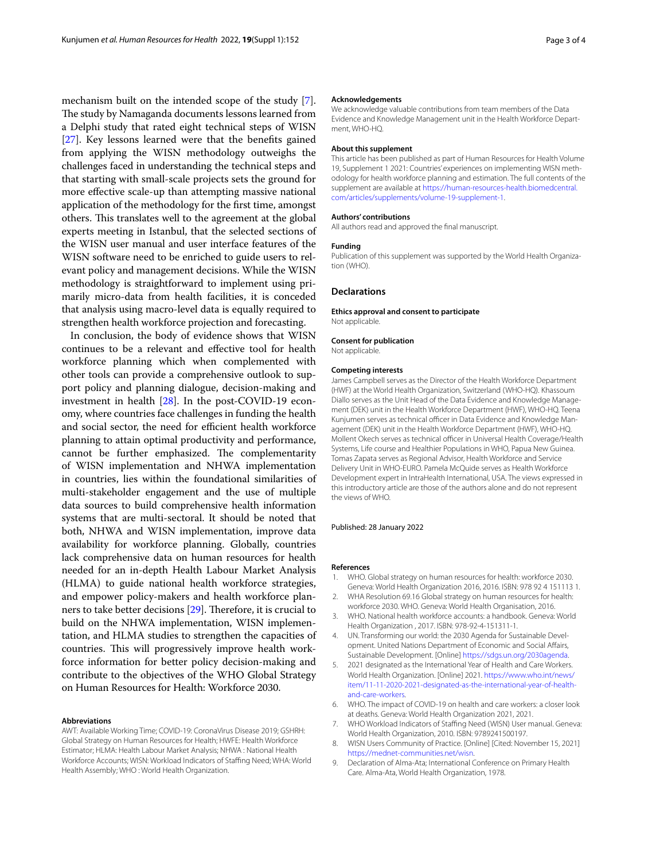mechanism built on the intended scope of the study [\[7](#page-2-6)]. The study by Namaganda documents lessons learned from a Delphi study that rated eight technical steps of WISN [[27\]](#page-3-17). Key lessons learned were that the benefts gained from applying the WISN methodology outweighs the challenges faced in understanding the technical steps and that starting with small-scale projects sets the ground for more efective scale-up than attempting massive national application of the methodology for the frst time, amongst others. This translates well to the agreement at the global experts meeting in Istanbul, that the selected sections of the WISN user manual and user interface features of the WISN software need to be enriched to guide users to relevant policy and management decisions. While the WISN methodology is straightforward to implement using primarily micro-data from health facilities, it is conceded that analysis using macro-level data is equally required to strengthen health workforce projection and forecasting.

In conclusion, the body of evidence shows that WISN continues to be a relevant and efective tool for health workforce planning which when complemented with other tools can provide a comprehensive outlook to support policy and planning dialogue, decision-making and investment in health [[28](#page-3-18)]. In the post-COVID-19 economy, where countries face challenges in funding the health and social sector, the need for efficient health workforce planning to attain optimal productivity and performance, cannot be further emphasized. The complementarity of WISN implementation and NHWA implementation in countries, lies within the foundational similarities of multi-stakeholder engagement and the use of multiple data sources to build comprehensive health information systems that are multi-sectoral. It should be noted that both, NHWA and WISN implementation, improve data availability for workforce planning. Globally, countries lack comprehensive data on human resources for health needed for an in-depth Health Labour Market Analysis (HLMA) to guide national health workforce strategies, and empower policy-makers and health workforce planners to take better decisions  $[29]$  $[29]$ . Therefore, it is crucial to build on the NHWA implementation, WISN implementation, and HLMA studies to strengthen the capacities of countries. This will progressively improve health workforce information for better policy decision-making and contribute to the objectives of the WHO Global Strategy on Human Resources for Health: Workforce 2030.

#### **Abbreviations**

AWT: Available Working Time; COVID-19: CoronaVirus Disease 2019; GSHRH: Global Strategy on Human Resources for Health; HWFE: Health Workforce Estimator; HLMA: Health Labour Market Analysis; NHWA : National Health Workforce Accounts; WISN: Workload Indicators of Staffing Need; WHA: World Health Assembly; WHO : World Health Organization.

#### **Acknowledgements**

We acknowledge valuable contributions from team members of the Data Evidence and Knowledge Management unit in the Health Workforce Department, WHO-HQ.

#### **About this supplement**

This article has been published as part of Human Resources for Health Volume 19, Supplement 1 2021: Countries' experiences on implementing WISN methodology for health workforce planning and estimation. The full contents of the supplement are available at [https://human-resources-health.biomedcentral.](https://human-resources-health.biomedcentral.com/articles/supplements/volume-19-supplement-1) [com/articles/supplements/volume-19-supplement-1](https://human-resources-health.biomedcentral.com/articles/supplements/volume-19-supplement-1).

#### **Authors' contributions**

All authors read and approved the fnal manuscript.

#### **Funding**

Publication of this supplement was supported by the World Health Organization (WHO).

### **Declarations**

**Ethics approval and consent to participate** Not applicable.

# **Consent for publication**

Not applicable.

#### **Competing interests**

James Campbell serves as the Director of the Health Workforce Department (HWF) at the World Health Organization, Switzerland (WHO-HQ). Khassoum Diallo serves as the Unit Head of the Data Evidence and Knowledge Management (DEK) unit in the Health Workforce Department (HWF), WHO-HQ. Teena Kunjumen serves as technical officer in Data Evidence and Knowledge Management (DEK) unit in the Health Workforce Department (HWF), WHO-HQ. Mollent Okech serves as technical officer in Universal Health Coverage/Health Systems, Life course and Healthier Populations in WHO, Papua New Guinea. Tomas Zapata serves as Regional Advisor, Health Workforce and Service Delivery Unit in WHO-EURO. Pamela McQuide serves as Health Workforce Development expert in IntraHealth International, USA. The views expressed in this introductory article are those of the authors alone and do not represent the views of WHO.

# Published: 28 January 2022

#### **References**

- <span id="page-2-0"></span>1. WHO. Global strategy on human resources for health: workforce 2030. Geneva: World Health Organization 2016, 2016. ISBN: 978 92 4 151113 1.
- <span id="page-2-1"></span>2. WHA Resolution 69.16 Global strategy on human resources for health: workforce 2030. WHO. Geneva: World Health Organisation, 2016.
- <span id="page-2-2"></span>3. WHO. National health workforce accounts: a handbook. Geneva: World Health Organization , 2017. ISBN: 978-92-4-151311-1.
- <span id="page-2-3"></span>UN. Transforming our world: the 2030 Agenda for Sustainable Development. United Nations Department of Economic and Social Afairs, Sustainable Development. [Online]<https://sdgs.un.org/2030agenda>.
- <span id="page-2-4"></span>5. 2021 designated as the International Year of Health and Care Workers. World Health Organization. [Online] 2021. [https://www.who.int/news/](https://www.who.int/news/item/11-11-2020-2021-designated-as-the-international-year-of-health-and-care-workers) [item/11-11-2020-2021-designated-as-the-international-year-of-health](https://www.who.int/news/item/11-11-2020-2021-designated-as-the-international-year-of-health-and-care-workers)[and-care-workers.](https://www.who.int/news/item/11-11-2020-2021-designated-as-the-international-year-of-health-and-care-workers)
- <span id="page-2-5"></span>6. WHO. The impact of COVID-19 on health and care workers: a closer look at deaths. Geneva: World Health Organization 2021, 2021.
- <span id="page-2-6"></span>7. WHO Workload Indicators of Staffing Need (WISN) User manual. Geneva: World Health Organization, 2010. ISBN: 9789241500197.
- <span id="page-2-7"></span>8. WISN Users Community of Practice. [Online] [Cited: November 15, 2021] <https://mednet-communities.net/wisn>.
- <span id="page-2-8"></span>9. Declaration of Alma-Ata; International Conference on Primary Health Care. Alma-Ata, World Health Organization, 1978.